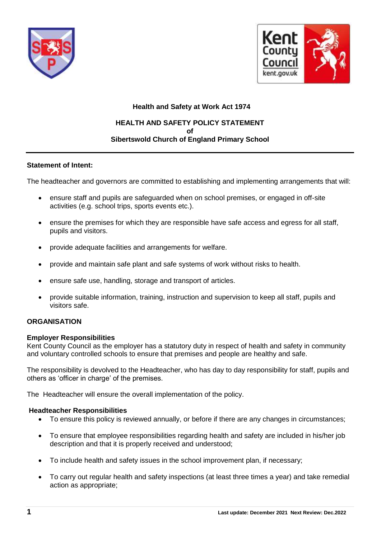



#### **Health and Safety at Work Act 1974**

#### **HEALTH AND SAFETY POLICY STATEMENT of Sibertswold Church of England Primary School**

#### **Statement of Intent:**

The headteacher and governors are committed to establishing and implementing arrangements that will:

- ensure staff and pupils are safeguarded when on school premises, or engaged in off-site activities (e.g. school trips, sports events etc.).
- ensure the premises for which they are responsible have safe access and egress for all staff, pupils and visitors.
- provide adequate facilities and arrangements for welfare.
- provide and maintain safe plant and safe systems of work without risks to health.
- ensure safe use, handling, storage and transport of articles.
- provide suitable information, training, instruction and supervision to keep all staff, pupils and visitors safe.

#### **ORGANISATION**

#### **Employer Responsibilities**

Kent County Council as the employer has a statutory duty in respect of health and safety in community and voluntary controlled schools to ensure that premises and people are healthy and safe.

The responsibility is devolved to the Headteacher, who has day to day responsibility for staff, pupils and others as 'officer in charge' of the premises.

The Headteacher will ensure the overall implementation of the policy.

#### **Headteacher Responsibilities**

- To ensure this policy is reviewed annually, or before if there are any changes in circumstances;
- To ensure that employee responsibilities regarding health and safety are included in his/her job description and that it is properly received and understood;
- To include health and safety issues in the school improvement plan, if necessary;
- To carry out regular health and safety inspections (at least three times a year) and take remedial action as appropriate;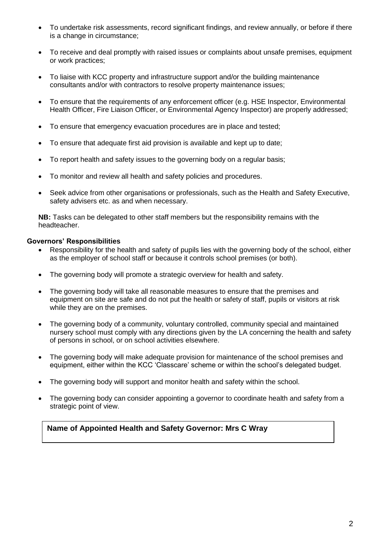- To undertake risk assessments, record significant findings, and review annually, or before if there is a change in circumstance;
- To receive and deal promptly with raised issues or complaints about unsafe premises, equipment or work practices;
- To liaise with KCC property and infrastructure support and/or the building maintenance consultants and/or with contractors to resolve property maintenance issues;
- To ensure that the requirements of any enforcement officer (e.g. HSE Inspector, Environmental Health Officer, Fire Liaison Officer, or Environmental Agency Inspector) are properly addressed;
- To ensure that emergency evacuation procedures are in place and tested;
- To ensure that adequate first aid provision is available and kept up to date;
- To report health and safety issues to the governing body on a regular basis;
- To monitor and review all health and safety policies and procedures.
- Seek advice from other organisations or professionals, such as the Health and Safety Executive, safety advisers etc. as and when necessary.

**NB:** Tasks can be delegated to other staff members but the responsibility remains with the headteacher.

#### **Governors' Responsibilities**

- Responsibility for the health and safety of pupils lies with the governing body of the school, either as the employer of school staff or because it controls school premises (or both).
- The governing body will promote a strategic overview for health and safety.
- The governing body will take all reasonable measures to ensure that the premises and equipment on site are safe and do not put the health or safety of staff, pupils or visitors at risk while they are on the premises.
- The governing body of a community, voluntary controlled, community special and maintained nursery school must comply with any directions given by the LA concerning the health and safety of persons in school, or on school activities elsewhere.
- The governing body will make adequate provision for maintenance of the school premises and equipment, either within the KCC 'Classcare' scheme or within the school's delegated budget.
- The governing body will support and monitor health and safety within the school.
- The governing body can consider appointing a governor to coordinate health and safety from a strategic point of view.

## **Name of Appointed Health and Safety Governor: Mrs C Wray**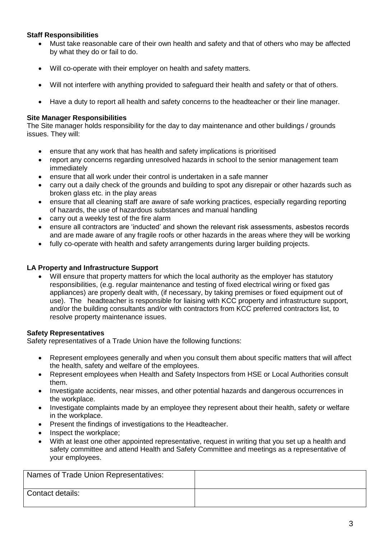#### **Staff Responsibilities**

- Must take reasonable care of their own health and safety and that of others who may be affected by what they do or fail to do.
- Will co-operate with their employer on health and safety matters.
- Will not interfere with anything provided to safeguard their health and safety or that of others.
- Have a duty to report all health and safety concerns to the headteacher or their line manager.

#### **Site Manager Responsibilities**

The Site manager holds responsibility for the day to day maintenance and other buildings / grounds issues. They will:

- ensure that any work that has health and safety implications is prioritised
- report any concerns regarding unresolved hazards in school to the senior management team immediately
- ensure that all work under their control is undertaken in a safe manner
- carry out a daily check of the grounds and building to spot any disrepair or other hazards such as broken glass etc. in the play areas
- ensure that all cleaning staff are aware of safe working practices, especially regarding reporting of hazards, the use of hazardous substances and manual handling
- carry out a weekly test of the fire alarm
- ensure all contractors are 'inducted' and shown the relevant risk assessments, asbestos records and are made aware of any fragile roofs or other hazards in the areas where they will be working
- fully co-operate with health and safety arrangements during larger building projects.

#### **LA Property and Infrastructure Support**

Will ensure that property matters for which the local authority as the employer has statutory responsibilities, (e.g. regular maintenance and testing of fixed electrical wiring or fixed gas appliances) are properly dealt with, (if necessary, by taking premises or fixed equipment out of use). The headteacher is responsible for liaising with KCC property and infrastructure support, and/or the building consultants and/or with contractors from KCC preferred contractors list, to resolve property maintenance issues.

## **Safety Representatives**

Safety representatives of a Trade Union have the following functions:

- Represent employees generally and when you consult them about specific matters that will affect the health, safety and welfare of the employees.
- Represent employees when Health and Safety Inspectors from HSE or Local Authorities consult them.
- Investigate accidents, near misses, and other potential hazards and dangerous occurrences in the workplace.
- Investigate complaints made by an employee they represent about their health, safety or welfare in the workplace.
- Present the findings of investigations to the Headteacher.
- Inspect the workplace;
- With at least one other appointed representative, request in writing that you set up a health and safety committee and attend Health and Safety Committee and meetings as a representative of your employees.

| Names of Trade Union Representatives: |  |
|---------------------------------------|--|
| Contact details:                      |  |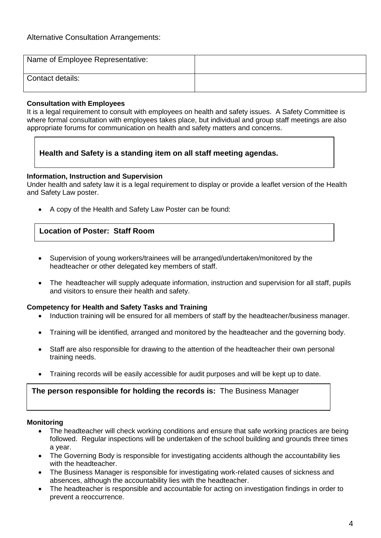| Name of Employee Representative: |  |
|----------------------------------|--|
| Contact details:                 |  |

## **Consultation with Employees**

It is a legal requirement to consult with employees on health and safety issues. A Safety Committee is where formal consultation with employees takes place, but individual and group staff meetings are also appropriate forums for communication on health and safety matters and concerns.

## **Health and Safety is a standing item on all staff meeting agendas.**

## **Information, Instruction and Supervision**

Under health and safety law it is a legal requirement to display or provide a leaflet version of the Health and Safety Law poster.

A copy of the Health and Safety Law Poster can be found:

## **Location of Poster: Staff Room**

- Supervision of young workers/trainees will be arranged/undertaken/monitored by the headteacher or other delegated key members of staff.
- The headteacher will supply adequate information, instruction and supervision for all staff, pupils and visitors to ensure their health and safety.

## **Competency for Health and Safety Tasks and Training**

- Induction training will be ensured for all members of staff by the headteacher/business manager.
- Training will be identified, arranged and monitored by the headteacher and the governing body.
- Staff are also responsible for drawing to the attention of the headteacher their own personal training needs.
- Training records will be easily accessible for audit purposes and will be kept up to date.

## **The person responsible for holding the records is:** The Business Manager

## **Monitoring**

- The headteacher will check working conditions and ensure that safe working practices are being followed. Regular inspections will be undertaken of the school building and grounds three times a year.
- The Governing Body is responsible for investigating accidents although the accountability lies with the headteacher.
- The Business Manager is responsible for investigating work-related causes of sickness and absences, although the accountability lies with the headteacher.
- The headteacher is responsible and accountable for acting on investigation findings in order to prevent a reoccurrence.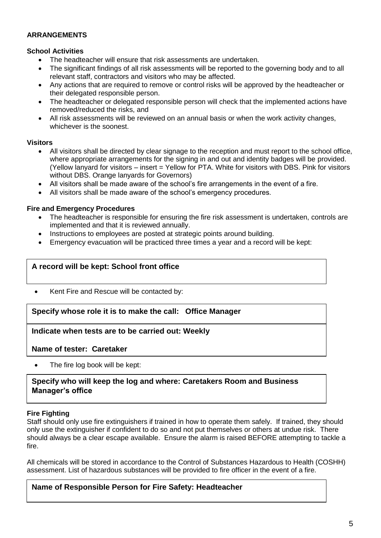#### **ARRANGEMENTS**

#### **School Activities**

- The headteacher will ensure that risk assessments are undertaken.
- The significant findings of all risk assessments will be reported to the governing body and to all relevant staff, contractors and visitors who may be affected.
- Any actions that are required to remove or control risks will be approved by the headteacher or their delegated responsible person.
- The headteacher or delegated responsible person will check that the implemented actions have removed/reduced the risks, and
- All risk assessments will be reviewed on an annual basis or when the work activity changes, whichever is the soonest.

#### **Visitors**

- All visitors shall be directed by clear signage to the reception and must report to the school office, where appropriate arrangements for the signing in and out and identity badges will be provided. (Yellow lanyard for visitors – insert = Yellow for PTA. White for visitors with DBS. Pink for visitors without DBS. Orange lanyards for Governors)
- All visitors shall be made aware of the school's fire arrangements in the event of a fire.
- All visitors shall be made aware of the school's emergency procedures.

#### **Fire and Emergency Procedures**

- The headteacher is responsible for ensuring the fire risk assessment is undertaken, controls are implemented and that it is reviewed annually.
- Instructions to employees are posted at strategic points around building.
- Emergency evacuation will be practiced three times a year and a record will be kept:

## **A record will be kept: School front office**

• Kent Fire and Rescue will be contacted by:

# $S$ pecify whose role it is to make the call:  $S$  Office Manager

## **Indicate when tests are to be carried out: Weekly**

**Name of tester: Caretaker**

The fire log book will be kept:

## **Specify who will keep the log and where: Caretakers Room and Business Manager's office**

## **Fire Fighting**

Staff should only use fire extinguishers if trained in how to operate them safely. If trained, they should only use the extinguisher if confident to do so and not put themselves or others at undue risk. There should always be a clear escape available. Ensure the alarm is raised BEFORE attempting to tackle a fire.

All chemicals will be stored in accordance to the Control of Substances Hazardous to Health (COSHH) assessment. List of hazardous substances will be provided to fire officer in the event of a fire.

## **Name of Responsible Person for Fire Safety: Headteacher**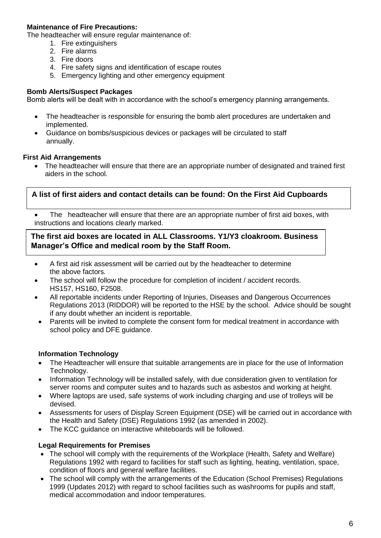## **Maintenance of Fire Precautions:**

The headteacher will ensure regular maintenance of:

- 1. Fire extinguishers
- 2. Fire alarms
- 3. Fire doors
- 4. Fire safety signs and identification of escape routes
- 5. Emergency lighting and other emergency equipment

#### **Bomb Alerts/Suspect Packages**

Bomb alerts will be dealt with in accordance with the school's emergency planning arrangements.

- The headteacher is responsible for ensuring the bomb alert procedures are undertaken and implemented.
- Guidance on bombs/suspicious devices or packages will be circulated to staff annually.

#### **First Aid Arrangements**

 The headteacher will ensure that there are an appropriate number of designated and trained first aiders in the school.

## **A list of first aiders and contact details can be found: On the First Aid Cupboards**

 The headteacher will ensure that there are an appropriate number of first aid boxes, with instructions and locations clearly marked.

#### **The first aid boxes are located in ALL Classrooms. Y1/Y3 cloakroom. Business Manager's Office and medical room by the Staff Room.**

- A first aid risk assessment will be carried out by the headteacher to determine the above factors*.*
- The school will follow the procedure for completion of incident / accident records. HS157, HS160, F2508.
- All reportable incidents under Reporting of Injuries, Diseases and Dangerous Occurrences Regulations 2013 (RIDDOR) will be reported to the HSE by the school. Advice should be sought if any doubt whether an incident is reportable.
- Parents will be invited to complete the consent form for medical treatment in accordance with school policy and DFE guidance.

#### **Information Technology**

- The Headteacher will ensure that suitable arrangements are in place for the use of Information Technology.
- Information Technology will be installed safely, with due consideration given to ventilation for server rooms and computer suites and to hazards such as asbestos and working at height.
- Where laptops are used, safe systems of work including charging and use of trolleys will be devised.
- Assessments for users of Display Screen Equipment (DSE) will be carried out in accordance with the Health and Safety (DSE) Regulations 1992 (as amended in 2002).
- The KCC guidance on interactive whiteboards will be followed.

#### **Legal Requirements for Premises**

- The school will comply with the requirements of the Workplace (Health, Safety and Welfare) Regulations 1992 with regard to facilities for staff such as lighting, heating, ventilation, space, condition of floors and general welfare facilities.
- The school will comply with the arrangements of the Education (School Premises) Regulations 1999 (Updates 2012) with regard to school facilities such as washrooms for pupils and staff, medical accommodation and indoor temperatures.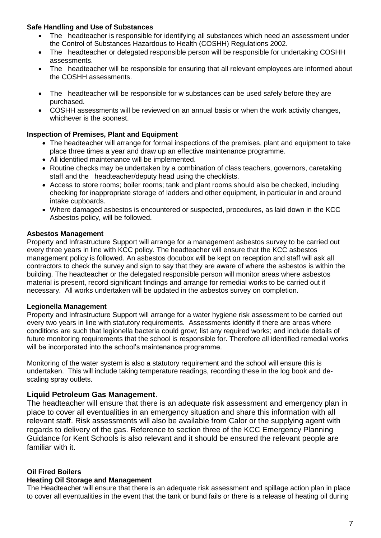#### **Safe Handling and Use of Substances**

- The headteacher is responsible for identifying all substances which need an assessment under the Control of Substances Hazardous to Health (COSHH) Regulations 2002.
- The headteacher or delegated responsible person will be responsible for undertaking COSHH assessments.
- The headteacher will be responsible for ensuring that all relevant employees are informed about the COSHH assessments.
- The headteacher will be responsible for w substances can be used safely before they are purchased.
- COSHH assessments will be reviewed on an annual basis or when the work activity changes, whichever is the soonest.

## **Inspection of Premises, Plant and Equipment**

- The headteacher will arrange for formal inspections of the premises, plant and equipment to take place three times a year and draw up an effective maintenance programme.
- All identified maintenance will be implemented.
- Routine checks may be undertaken by a combination of class teachers, governors, caretaking staff and the headteacher/deputy head using the checklists.
- Access to store rooms; boiler rooms; tank and plant rooms should also be checked, including checking for inappropriate storage of ladders and other equipment, in particular in and around intake cupboards.
- Where damaged asbestos is encountered or suspected, procedures, as laid down in the KCC Asbestos policy, will be followed.

## **Asbestos Management**

Property and Infrastructure Support will arrange for a management asbestos survey to be carried out every three years in line with KCC policy. The headteacher will ensure that the KCC asbestos management policy is followed. An asbestos docubox will be kept on reception and staff will ask all contractors to check the survey and sign to say that they are aware of where the asbestos is within the building. The headteacher or the delegated responsible person will monitor areas where asbestos material is present, record significant findings and arrange for remedial works to be carried out if necessary. All works undertaken will be updated in the asbestos survey on completion.

## **Legionella Management**

Property and Infrastructure Support will arrange for a water hygiene risk assessment to be carried out every two years in line with statutory requirements. Assessments identify if there are areas where conditions are such that legionella bacteria could grow; list any required works; and include details of future monitoring requirements that the school is responsible for. Therefore all identified remedial works will be incorporated into the school's maintenance programme.

Monitoring of the water system is also a statutory requirement and the school will ensure this is undertaken. This will include taking temperature readings, recording these in the log book and descaling spray outlets.

## **Liquid Petroleum Gas Management**.

The headteacher will ensure that there is an adequate risk assessment and emergency plan in place to cover all eventualities in an emergency situation and share this information with all relevant staff. Risk assessments will also be available from Calor or the supplying agent with regards to delivery of the gas. Reference to section three of the KCC Emergency Planning Guidance for Kent Schools is also relevant and it should be ensured the relevant people are familiar with it.

## **Oil Fired Boilers**

#### **Heating Oil Storage and Management**

The Headteacher will ensure that there is an adequate risk assessment and spillage action plan in place to cover all eventualities in the event that the tank or bund fails or there is a release of heating oil during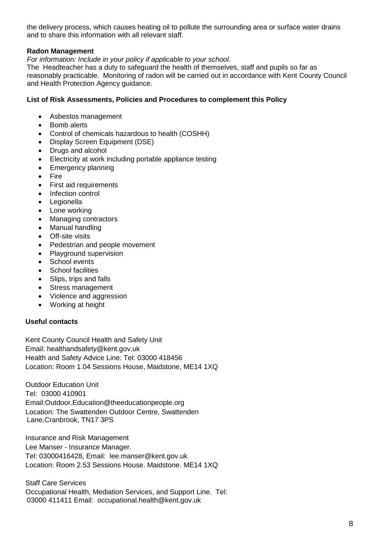the delivery process, which causes heating oil to pollute the surrounding area or surface water drains and to share this information with all relevant staff.

#### **Radon Management**

*For information: Include in your policy if applicable to your school.* 

The Headteacher has a duty to safeguard the health of themselves, staff and pupils so far as reasonably practicable. Monitoring of radon will be carried out in accordance with Kent County Council and Health Protection Agency guidance.

#### **List of Risk Assessments, Policies and Procedures to complement this Policy**

- Asbestos management
- Bomb alerts
- Control of chemicals hazardous to health (COSHH)
- Display Screen Equipment (DSE)<br>• Drugs and alcohol
- Drugs and alcohol
- Electricity at work including portable appliance testing
- Emergency planning
- Fire
- First aid requirements
- Infection control
- Legionella
- Lone working
- Managing contractors
- Manual handling
- Off-site visits
- Pedestrian and people movement
- Playground supervision
- School events
- School facilities
- Slips, trips and falls
- Stress management
- Violence and aggression
- Working at height

#### **Useful contacts**

Kent County Council Health and Safety Unit Email: healthandsafety@kent.gov.uk Health and Safety Advice Line: Tel: 03000 418456 Location: Room 1.04 Sessions House, Maidstone, ME14 1XQ

Outdoor Education Unit Tel: 03000 410901 Email:Outdoor.Education@theeducationpeople.org Location: The Swattenden Outdoor Centre, Swattenden Lane,Cranbrook, TN17 3PS

Insurance and Risk Management Lee Manser - Insurance Manager. Tel: 03000416428, Email: lee.manser@kent.gov.uk Location: Room 2.53 Sessions House. Maidstone. ME14 1XQ

Staff Care Services Occupational Health, Mediation Services, and Support Line. Tel: 03000 411411 Email: occupational.health@kent.gov.uk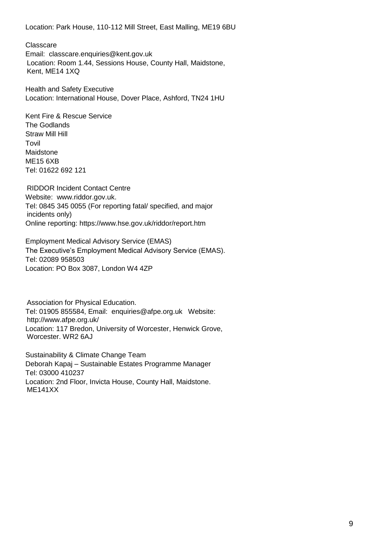Location: Park House, 110-112 Mill Street, East Malling, ME19 6BU

**Classcare** 

Email: classcare.enquiries@kent.gov.uk Location: Room 1.44, Sessions House, County Hall, Maidstone, Kent, ME14 1XQ

Health and Safety Executive Location: International House, Dover Place, Ashford, TN24 1HU

Kent Fire & Rescue Service The Godlands Straw Mill Hill Tovil Maidstone ME15 6XB Tel: 01622 692 121

RIDDOR Incident Contact Centre Website: www.riddor.gov.uk. Tel: 0845 345 0055 (For reporting fatal/ specified, and major incidents only) Online reporting: https://www.hse.gov.uk/riddor/report.htm

Employment Medical Advisory Service (EMAS) The Executive's Employment Medical Advisory Service (EMAS). Tel: 02089 958503 Location: PO Box 3087, London W4 4ZP

Association for Physical Education. Tel: 01905 855584, Email: enquiries@afpe.org.uk Website: http://www.afpe.org.uk/ Location: 117 Bredon, University of Worcester, Henwick Grove, Worcester. WR2 6AJ

Sustainability & Climate Change Team Deborah Kapaj – Sustainable Estates Programme Manager Tel: 03000 410237 Location: 2nd Floor, Invicta House, County Hall, Maidstone. ME141XX